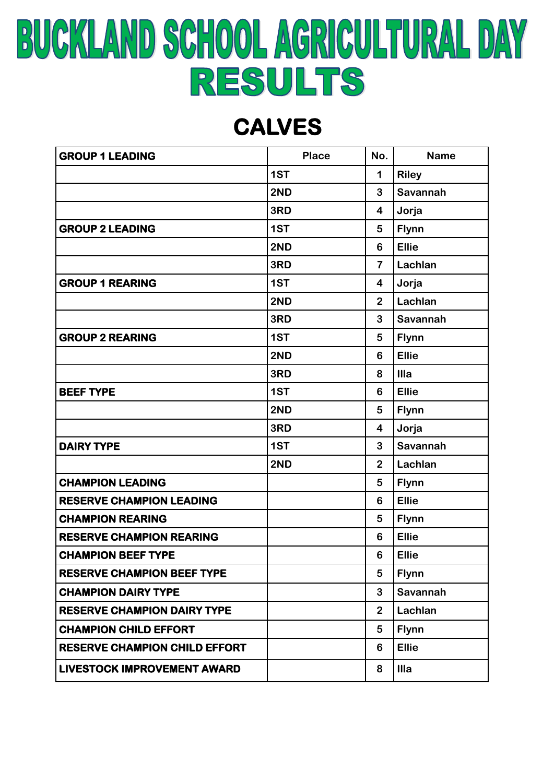# **BUCKLAND SCHOOL AGRICULTURAL DAY** RESULTS

#### **CALVES**

| <b>GROUP 1 LEADING</b>               | <b>Place</b> | No.                     | <b>Name</b>  |
|--------------------------------------|--------------|-------------------------|--------------|
|                                      | 1ST          | 1                       | <b>Riley</b> |
|                                      | 2ND          | 3                       | Savannah     |
|                                      | 3RD          | 4                       | Jorja        |
| <b>GROUP 2 LEADING</b>               | 1ST          | 5                       | <b>Flynn</b> |
|                                      | 2ND          | $6\phantom{1}6$         | <b>Ellie</b> |
|                                      | 3RD          | $\overline{7}$          | Lachlan      |
| <b>GROUP 1 REARING</b>               | 1ST          | $\overline{\mathbf{4}}$ | Jorja        |
|                                      | 2ND          | $\overline{2}$          | Lachlan      |
|                                      | 3RD          | 3                       | Savannah     |
| <b>GROUP 2 REARING</b>               | 1ST          | 5                       | <b>Flynn</b> |
|                                      | 2ND          | $6\phantom{1}6$         | <b>Ellie</b> |
|                                      | 3RD          | 8                       | Illa         |
| <b>BEEF TYPE</b>                     | 1ST          | $6\phantom{1}6$         | <b>Ellie</b> |
|                                      | 2ND          | 5                       | <b>Flynn</b> |
|                                      | 3RD          | $\overline{\mathbf{4}}$ | Jorja        |
| <b>DAIRY TYPE</b>                    | 1ST          | 3                       | Savannah     |
|                                      | 2ND          | $\overline{2}$          | Lachlan      |
| <b>CHAMPION LEADING</b>              |              | 5                       | <b>Flynn</b> |
| <b>RESERVE CHAMPION LEADING</b>      |              | $6\phantom{1}6$         | <b>Ellie</b> |
| <b>CHAMPION REARING</b>              |              | 5                       | <b>Flynn</b> |
| <b>RESERVE CHAMPION REARING</b>      |              | $6\phantom{1}6$         | <b>Ellie</b> |
| <b>CHAMPION BEEF TYPE</b>            |              | $6\phantom{1}$          | <b>Ellie</b> |
| <b>RESERVE CHAMPION BEEF TYPE</b>    |              | 5                       | <b>Flynn</b> |
| <b>CHAMPION DAIRY TYPE</b>           |              | 3                       | Savannah     |
| <b>RESERVE CHAMPION DAIRY TYPE</b>   |              | $\overline{2}$          | Lachlan      |
| <b>CHAMPION CHILD EFFORT</b>         |              | 5                       | <b>Flynn</b> |
| <b>RESERVE CHAMPION CHILD EFFORT</b> |              | 6                       | <b>Ellie</b> |
| <b>LIVESTOCK IMPROVEMENT AWARD</b>   |              | 8                       | Illa         |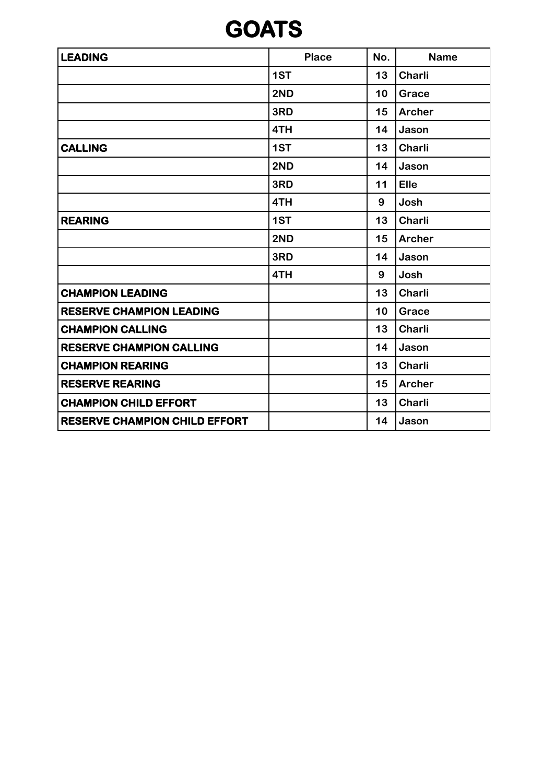### **GOATS**

| <b>LEADING</b>                       | <b>Place</b> | No. | <b>Name</b>   |
|--------------------------------------|--------------|-----|---------------|
|                                      | 1ST          | 13  | <b>Charli</b> |
|                                      | 2ND          | 10  | Grace         |
|                                      | 3RD          | 15  | <b>Archer</b> |
|                                      | 4TH          | 14  | Jason         |
| <b>CALLING</b>                       | 1ST          | 13  | <b>Charli</b> |
|                                      | 2ND          | 14  | Jason         |
|                                      | 3RD          | 11  | Elle          |
|                                      | 4TH          | 9   | Josh          |
| <b>REARING</b>                       | 1ST          | 13  | Charli        |
|                                      | 2ND          | 15  | <b>Archer</b> |
|                                      | 3RD          | 14  | Jason         |
|                                      | 4TH          | 9   | Josh          |
| <b>CHAMPION LEADING</b>              |              | 13  | Charli        |
| <b>RESERVE CHAMPION LEADING</b>      |              | 10  | Grace         |
| <b>CHAMPION CALLING</b>              |              | 13  | Charli        |
| <b>RESERVE CHAMPION CALLING</b>      |              | 14  | Jason         |
| <b>CHAMPION REARING</b>              |              | 13  | Charli        |
| <b>RESERVE REARING</b>               |              | 15  | <b>Archer</b> |
| <b>CHAMPION CHILD EFFORT</b>         |              | 13  | Charli        |
| <b>RESERVE CHAMPION CHILD EFFORT</b> |              | 14  | Jason         |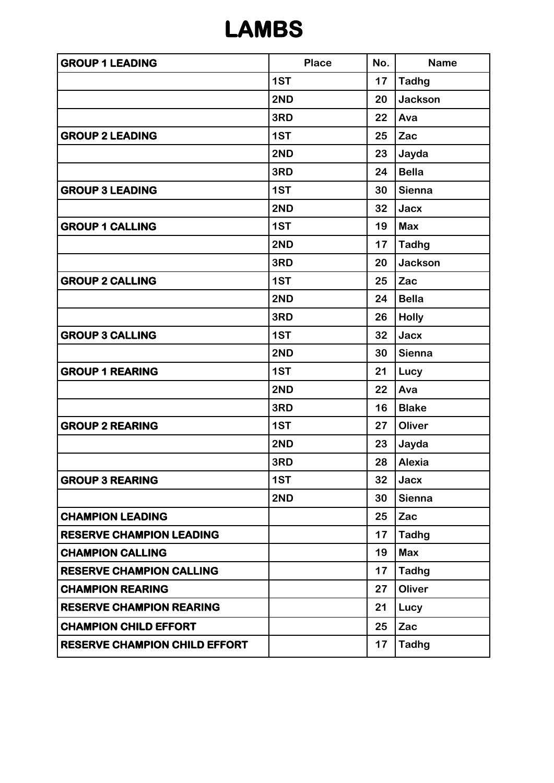### **LAMBS**

| <b>GROUP 1 LEADING</b>               | <b>Place</b> | No. | <b>Name</b>    |
|--------------------------------------|--------------|-----|----------------|
|                                      | 1ST          | 17  | <b>Tadhg</b>   |
|                                      | 2ND          | 20  | <b>Jackson</b> |
|                                      | 3RD          | 22  | Ava            |
| <b>GROUP 2 LEADING</b>               | 1ST          | 25  | Zac            |
|                                      | 2ND          | 23  | Jayda          |
|                                      | 3RD          | 24  | <b>Bella</b>   |
| <b>GROUP 3 LEADING</b>               | 1ST          | 30  | <b>Sienna</b>  |
|                                      | 2ND          | 32  | Jacx           |
| <b>GROUP 1 CALLING</b>               | 1ST          | 19  | <b>Max</b>     |
|                                      | 2ND          | 17  | <b>Tadhg</b>   |
|                                      | 3RD          | 20  | <b>Jackson</b> |
| <b>GROUP 2 CALLING</b>               | 1ST          | 25  | Zac            |
|                                      | 2ND          | 24  | <b>Bella</b>   |
|                                      | 3RD          | 26  | <b>Holly</b>   |
| <b>GROUP 3 CALLING</b>               | 1ST          | 32  | Jacx           |
|                                      | 2ND          | 30  | <b>Sienna</b>  |
| <b>GROUP 1 REARING</b>               | 1ST          | 21  | Lucy           |
|                                      | 2ND          | 22  | Ava            |
|                                      | 3RD          | 16  | <b>Blake</b>   |
| <b>GROUP 2 REARING</b>               | 1ST          | 27  | Oliver         |
|                                      | 2ND          | 23  | Jayda          |
|                                      | 3RD          | 28  | Alexia         |
| <b>GROUP 3 REARING</b>               | 1ST          | 32  | Jacx           |
|                                      | 2ND          | 30  | <b>Sienna</b>  |
| <b>CHAMPION LEADING</b>              |              | 25  | Zac            |
| <b>RESERVE CHAMPION LEADING</b>      |              | 17  | <b>Tadhg</b>   |
| <b>CHAMPION CALLING</b>              |              | 19  | <b>Max</b>     |
| <b>RESERVE CHAMPION CALLING</b>      |              | 17  | <b>Tadhg</b>   |
| <b>CHAMPION REARING</b>              |              | 27  | <b>Oliver</b>  |
| <b>RESERVE CHAMPION REARING</b>      |              | 21  | Lucy           |
| <b>CHAMPION CHILD EFFORT</b>         |              | 25  | Zac            |
| <b>RESERVE CHAMPION CHILD EFFORT</b> |              | 17  | <b>Tadhg</b>   |